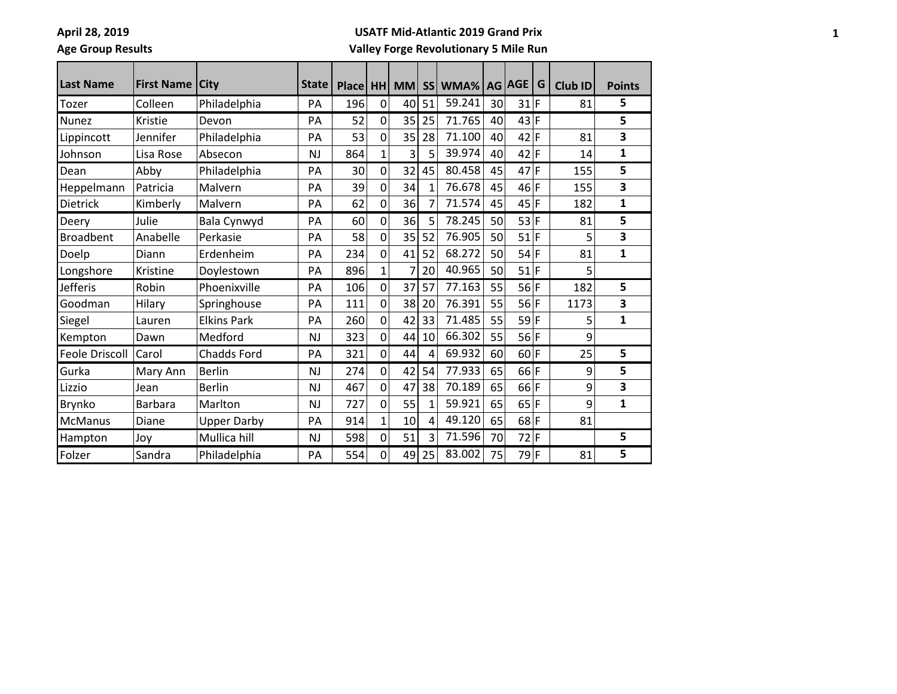$\blacksquare$ 

# **Age Group Results**

#### **USATF Mid-Atlantic 2019 Grand Prix**

## **Valley Forge Revolutionary 5 Mile Run**

| Last Name             | <b>First Name</b> | <b>City</b>        | State     | Place   HH |              | <b>MM</b> | <b>SS</b>    | WMA%   |    | AG AGE | G | <b>Club ID</b> | <b>Points</b> |
|-----------------------|-------------------|--------------------|-----------|------------|--------------|-----------|--------------|--------|----|--------|---|----------------|---------------|
| Tozer                 | Colleen           | Philadelphia       | PA        | 196        | $\mathbf 0$  | 40        | 51           | 59.241 | 30 | $31$ F |   | 81             | 5             |
| <b>Nunez</b>          | Kristie           | Devon              | PA        | 52         | 0            | 35        | 25           | 71.765 | 40 | 43 F   |   |                | 5             |
| Lippincott            | Jennifer          | Philadelphia       | PA        | 53         | 0            | 35        | 28           | 71.100 | 40 | $42$ F |   | 81             | 3             |
| Johnson               | Lisa Rose         | Absecon            | <b>NJ</b> | 864        | $\mathbf{1}$ | 3         | 5            | 39.974 | 40 | $42$ F |   | 14             | $\mathbf{1}$  |
| Dean                  | Abby              | Philadelphia       | PA        | 30         | $\mathbf 0$  | 32        | 45           | 80.458 | 45 | 47     | F | 155            | 5             |
| Heppelmann            | Patricia          | Malvern            | PA        | 39         | $\mathbf 0$  | 34        | $\mathbf{1}$ | 76.678 | 45 | $46$ F |   | 155            | 3             |
| Dietrick              | Kimberly          | Malvern            | PA        | 62         | 0            | 36        | 7            | 71.574 | 45 | 45 F   |   | 182            | $\mathbf{1}$  |
| Deery                 | Julie             | Bala Cynwyd        | PA        | 60         | 0            | 36        | 5            | 78.245 | 50 | 53 F   |   | 81             | 5             |
| <b>Broadbent</b>      | Anabelle          | Perkasie           | PA        | 58         | $\mathbf 0$  | 35        | 52           | 76.905 | 50 | $51$ F |   | 5              | 3             |
| Doelp                 | Diann             | Erdenheim          | PA        | 234        | 0            | 41        | 52           | 68.272 | 50 | $54$ F |   | 81             | $\mathbf{1}$  |
| Longshore             | Kristine          | Doylestown         | PA        | 896        | $\mathbf{1}$ | 7         | 20           | 40.965 | 50 | $51$ F |   | 5              |               |
| <b>Jefferis</b>       | Robin             | Phoenixville       | PA        | 106        | $\mathbf 0$  | 37        | 57           | 77.163 | 55 | $56$ F |   | 182            | 5             |
| Goodman               | Hilary            | Springhouse        | PA        | 111        | $\mathbf 0$  | 38        | 20           | 76.391 | 55 | $56$ F |   | 1173           | 3             |
| Siegel                | Lauren            | <b>Elkins Park</b> | PA        | 260        | 0            | 42        | 33           | 71.485 | 55 | $59$ F |   | 5              | $\mathbf{1}$  |
| Kempton               | Dawn              | Medford            | <b>NJ</b> | 323        | 0            | 44        | 10           | 66.302 | 55 | $56$ F |   | 9              |               |
| <b>Feole Driscoll</b> | Carol             | <b>Chadds Ford</b> | PA        | 321        | 0            | 44        | 4            | 69.932 | 60 | 60 F   |   | 25             | 5             |
| Gurka                 | Mary Ann          | <b>Berlin</b>      | <b>NJ</b> | 274        | 0            | 42        | 54           | 77.933 | 65 | $66$ F |   | 9              | 5             |
| Lizzio                | Jean              | <b>Berlin</b>      | <b>NJ</b> | 467        | 0            | 47        | 38           | 70.189 | 65 | $66$ F |   | 9              | 3             |
| <b>Brynko</b>         | <b>Barbara</b>    | Marlton            | <b>NJ</b> | 727        | 0            | 55        | 1            | 59.921 | 65 | $65$ F |   | 9              | 1             |
| <b>McManus</b>        | Diane             | <b>Upper Darby</b> | PA        | 914        | 1            | 10        | 4            | 49.120 | 65 | $68$ F |   | 81             |               |
| Hampton               | Joy               | Mullica hill       | <b>NJ</b> | 598        | $\mathbf 0$  | 51        | 3            | 71.596 | 70 | $72$ F |   |                | 5             |
| Folzer                | Sandra            | Philadelphia       | PA        | 554        | 0            | 49        | 25           | 83.002 | 75 | 79 F   |   | 81             | 5             |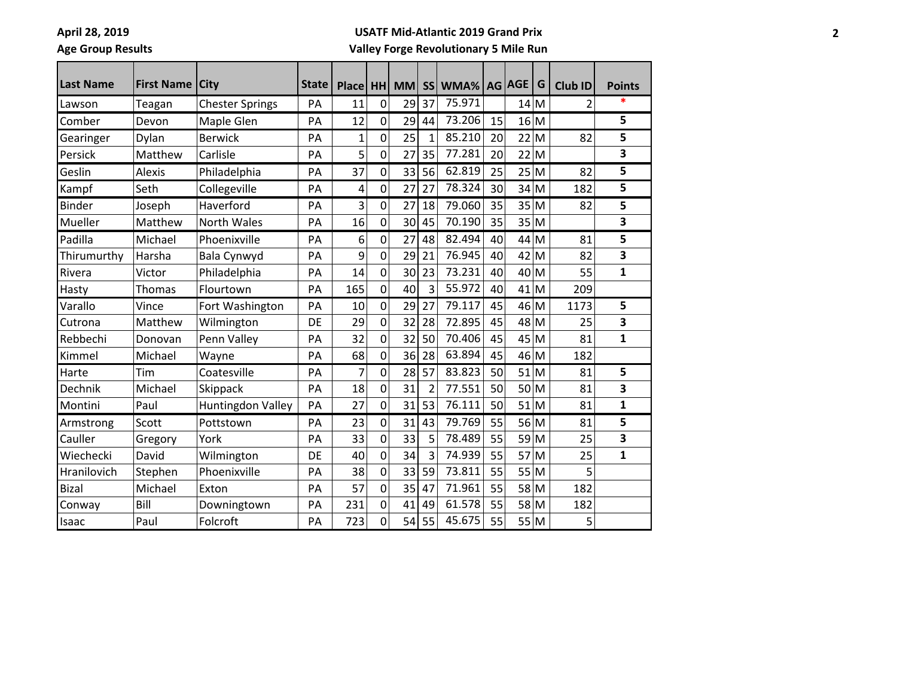<u> Elizabeth Company (</u>

**Age Group Results**

#### **USATF Mid-Atlantic 2019 Grand Prix**

**Valley Forge Revolutionary 5 Mile Run**

and the control of

an an a

| <b>Last Name</b> | <b>First Name</b> | <b>City</b>            | <b>State</b> | <b>Place</b> | <b>HH</b>      | <b>MM</b> |                | SS WMA% AG AGE |    |    | G    | Club ID        | <b>Points</b> |
|------------------|-------------------|------------------------|--------------|--------------|----------------|-----------|----------------|----------------|----|----|------|----------------|---------------|
| Lawson           | Teagan            | <b>Chester Springs</b> | PA           | 11           | $\mathbf 0$    | 29        | 37             | 75.971         |    | 14 | M    | $\overline{2}$ |               |
| Comber           | Devon             | Maple Glen             | PA           | 12           | 0              | 29        | 44             | 73.206         | 15 | 16 | M    |                | 5             |
| Gearinger        | Dylan             | <b>Berwick</b>         | PA           | 1            | 0              | 25        | 1              | 85.210         | 20 |    | 22 M | 82             | 5             |
| Persick          | Matthew           | Carlisle               | PA           | 5            | $\overline{0}$ | 27        | 35             | 77.281         | 20 |    | 22 M |                | 3             |
| Geslin           | Alexis            | Philadelphia           | PA           | 37           | 0              | 33        | 56             | 62.819         | 25 |    | 25 M | 82             | 5             |
| Kampf            | Seth              | Collegeville           | PA           | 4            | 0              | 27        | 27             | 78.324         | 30 | 34 | M    | 182            | 5             |
| <b>Binder</b>    | Joseph            | Haverford              | PA           | 3            | $\mathbf 0$    | 27        | 18             | 79.060         | 35 | 35 | M    | 82             | 5             |
| Mueller          | Matthew           | North Wales            | PA           | 16           | 0              | 30        | 45             | 70.190         | 35 |    | 35 M |                | 3             |
| Padilla          | Michael           | Phoenixville           | PA           | 6            | 0              | 27        | 48             | 82.494         | 40 | 44 | M    | 81             | 5             |
| Thirumurthy      | Harsha            | Bala Cynwyd            | PA           | 9            | $\mathbf 0$    | 29        | 21             | 76.945         | 40 | 42 | M    | 82             | 3             |
| Rivera           | Victor            | Philadelphia           | PA           | 14           | $\overline{0}$ | 30        | 23             | 73.231         | 40 | 40 | M    | 55             | 1             |
| Hasty            | Thomas            | Flourtown              | PA           | 165          | $\overline{0}$ | 40        | 3              | 55.972         | 40 | 41 | M    | 209            |               |
| Varallo          | Vince             | Fort Washington        | PA           | 10           | 0              | 29        | 27             | 79.117         | 45 | 46 | M    | 1173           | 5             |
| Cutrona          | Matthew           | Wilmington             | DE           | 29           | 0              | 32        | 28             | 72.895         | 45 | 48 | M    | 25             | 3             |
| Rebbechi         | Donovan           | Penn Valley            | PA           | 32           | $\mathbf 0$    | 32        | 50             | 70.406         | 45 | 45 | M    | 81             | 1             |
| Kimmel           | Michael           | Wayne                  | PA           | 68           | 0              | 36        | 28             | 63.894         | 45 | 46 | M    | 182            |               |
| Harte            | Tim               | Coatesville            | PA           | 7            | 0              | 28        | 57             | 83.823         | 50 | 51 | M    | 81             | 5             |
| Dechnik          | Michael           | Skippack               | PA           | 18           | 0              | 31        | $\overline{2}$ | 77.551         | 50 | 50 | M    | 81             | 3             |
| Montini          | Paul              | Huntingdon Valley      | PA           | 27           | 0              | 31        | 53             | 76.111         | 50 | 51 | M    | 81             | 1             |
| Armstrong        | Scott             | Pottstown              | PA           | 23           | 0              | 31        | 43             | 79.769         | 55 | 56 | M    | 81             | 5             |
| Cauller          | Gregory           | York                   | PA           | 33           | 0              | 33        | 5              | 78.489         | 55 | 59 | M    | 25             | 3             |
| Wiechecki        | David             | Wilmington             | DE           | 40           | 0              | 34        | 3              | 74.939         | 55 | 57 | M    | 25             | 1             |
| Hranilovich      | Stephen           | Phoenixville           | PA           | 38           | 0              | 33        | 59             | 73.811         | 55 | 55 | M    | 5              |               |
| <b>Bizal</b>     | Michael           | Exton                  | PA           | 57           | 0              | 35        | 47             | 71.961         | 55 | 58 | M    | 182            |               |
| Conway           | Bill              | Downingtown            | PA           | 231          | 0              | 41        | 49             | 61.578         | 55 | 58 | M    | 182            |               |
| Isaac            | Paul              | Folcroft               | PA           | 723          | 0              | 54        | 55             | 45.675         | 55 |    | 55 M | 5              |               |